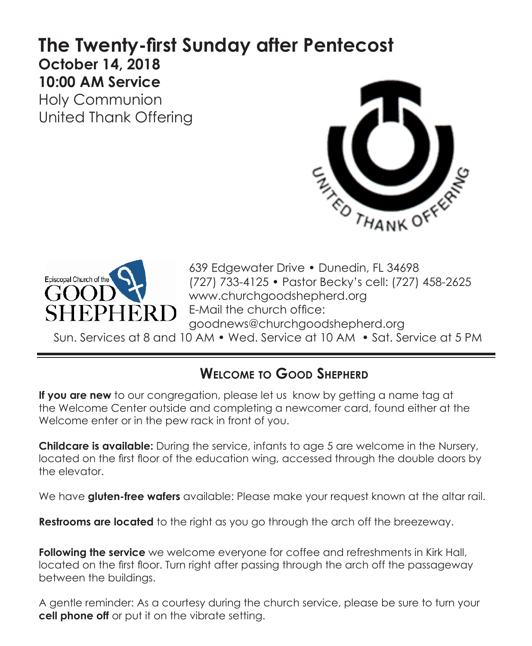# **The Twenty-first Sunday after Pentecost October 14, 2018 10:00 AM Service**

Holy Communion United Thank Offering





639 Edgewater Drive • Dunedin, FL 34698 (727) 733-4125 • Pastor Becky's cell: (727) 458-2625 www.churchgoodshepherd.org E-Mail the church office:

goodnews@churchgoodshepherd.org

Sun. Services at 8 and 10 AM • Wed. Service at 10 AM • Sat. Service at 5 PM

## **Welcome to Good Shepherd**

**If you are new** to our congregation, please let us know by getting a name tag at the Welcome Center outside and completing a newcomer card, found either at the Welcome enter or in the pew rack in front of you.

**Childcare is available:** During the service, infants to age 5 are welcome in the Nursery, located on the first floor of the education wing, accessed through the double doors by the elevator.

We have **gluten-free wafers** available: Please make your request known at the altar rail.

**Restrooms are located** to the right as you go through the arch off the breezeway.

**Following the service** we welcome everyone for coffee and refreshments in Kirk Hall, located on the first floor. Turn right after passing through the arch off the passageway between the buildings.

A gentle reminder: As a courtesy during the church service, please be sure to turn your **cell phone off** or put it on the vibrate setting.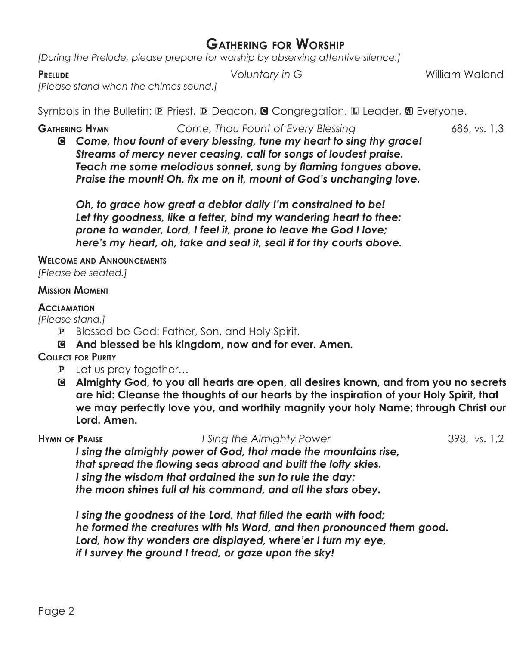## **Gathering for Worship**

*[During the Prelude, please prepare for worship by observing attentive silence.]*

**Prelude** *Voluntary in G* William Walond

*[Please stand when the chimes sound.]*

Symbols in the Bulletin: **P** Priest, **D** Deacon, **Q** Congregation, **L** Leader, **M** Everyone.

**GATHERING HYMN** *Come, Thou Fount of Every Blessing* 686, vs. 1,3

C *Come, thou fount of every blessing, tune my heart to sing thy grace! Streams of mercy never ceasing, call for songs of loudest praise. Teach me some melodious sonnet, sung by flaming tongues above. Praise the mount! Oh, fix me on it, mount of God's unchanging love.*

*Oh, to grace how great a debtor daily I'm constrained to be! Let thy goodness, like a fetter, bind my wandering heart to thee: prone to wander, Lord, I feel it, prone to leave the God I love; here's my heart, oh, take and seal it, seal it for thy courts above.*

**Welcome and Announcements**

*[Please be seated.]*

#### **Mission Moment**

#### **Acclamation**

*[Please stand.]*

- P Blessed be God: Father, Son, and Holy Spirit.
- C **And blessed be his kingdom, now and for ever. Amen.**

**Collect for Purity**

- P Let us pray together…
- C **Almighty God, to you all hearts are open, all desires known, and from you no secrets are hid: Cleanse the thoughts of our hearts by the inspiration of your Holy Spirit, that we may perfectly love you, and worthily magnify your holy Name; through Christ our Lord. Amen.**

**Hymn of Praise** *I Sing the Almighty Power* 398, vs. 1,2

*I sing the almighty power of God, that made the mountains rise, that spread the flowing seas abroad and built the lofty skies. I sing the wisdom that ordained the sun to rule the day; the moon shines full at his command, and all the stars obey.*

*I sing the goodness of the Lord, that filled the earth with food; he formed the creatures with his Word, and then pronounced them good. Lord, how thy wonders are displayed, where'er I turn my eye, if I survey the ground I tread, or gaze upon the sky!*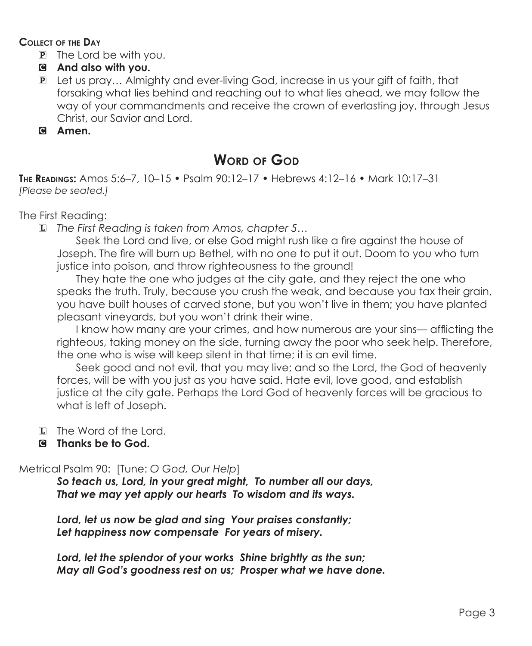#### **Collect of the Day**

- P The Lord be with you.
- C **And also with you.**
- P Let us pray… Almighty and ever-living God, increase in us your gift of faith, that forsaking what lies behind and reaching out to what lies ahead, we may follow the way of your commandments and receive the crown of everlasting joy, through Jesus Christ, our Savior and Lord.
- C **Amen.**

## **Word of God**

**The Readings:** Amos 5:6–7, 10–15 • Psalm 90:12–17 • Hebrews 4:12–16 • Mark 10:17–31 *[Please be seated.]*

The First Reading:

L *The First Reading is taken from Amos, chapter 5…*

Seek the Lord and live, or else God might rush like a fire against the house of Joseph. The fire will burn up Bethel, with no one to put it out. Doom to you who turn justice into poison, and throw righteousness to the ground!

They hate the one who judges at the city gate, and they reject the one who speaks the truth. Truly, because you crush the weak, and because you tax their grain, you have built houses of carved stone, but you won't live in them; you have planted pleasant vineyards, but you won't drink their wine.

I know how many are your crimes, and how numerous are your sins— afflicting the righteous, taking money on the side, turning away the poor who seek help. Therefore, the one who is wise will keep silent in that time; it is an evil time.

Seek good and not evil, that you may live; and so the Lord, the God of heavenly forces, will be with you just as you have said. Hate evil, love good, and establish justice at the city gate. Perhaps the Lord God of heavenly forces will be gracious to what is left of Joseph.

- L The Word of the Lord.
- C **Thanks be to God.**

Metrical Psalm 90: [Tune: *O God, Our Help*]

*So teach us, Lord, in your great might, To number all our days, That we may yet apply our hearts To wisdom and its ways.*

*Lord, let us now be glad and sing Your praises constantly; Let happiness now compensate For years of misery.*

*Lord, let the splendor of your works Shine brightly as the sun; May all God's goodness rest on us; Prosper what we have done.*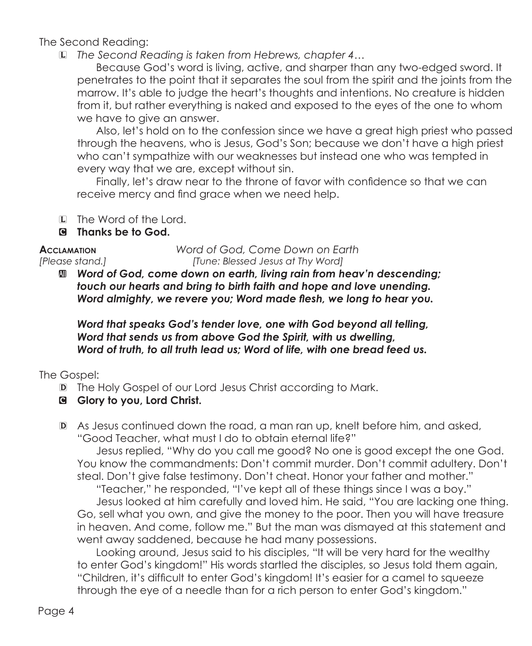The Second Reading:

L *The Second Reading is taken from Hebrews, chapter 4…*

Because God's word is living, active, and sharper than any two-edged sword. It penetrates to the point that it separates the soul from the spirit and the joints from the marrow. It's able to judge the heart's thoughts and intentions. No creature is hidden from it, but rather everything is naked and exposed to the eyes of the one to whom we have to give an answer.

Also, let's hold on to the confession since we have a great high priest who passed through the heavens, who is Jesus, God's Son; because we don't have a high priest who can't sympathize with our weaknesses but instead one who was tempted in every way that we are, except without sin.

Finally, let's draw near to the throne of favor with confidence so that we can receive mercy and find grace when we need help.

- L The Word of the Lord.
- C **Thanks be to God.**

**Acclamation** *Word of God, Come Down on Earth [Please stand.] [Tune: Blessed Jesus at Thy Word]*

 $\blacksquare$  Word of God, come down on earth, living rain from heav'n descending; *touch our hearts and bring to birth faith and hope and love unending. Word almighty, we revere you; Word made flesh, we long to hear you.*

*Word that speaks God's tender love, one with God beyond all telling, Word that sends us from above God the Spirit, with us dwelling, Word of truth, to all truth lead us; Word of life, with one bread feed us.*

The Gospel:

- D The Holy Gospel of our Lord Jesus Christ according to Mark.
- C **Glory to you, Lord Christ.**
- D As Jesus continued down the road, a man ran up, knelt before him, and asked, "Good Teacher, what must I do to obtain eternal life?"

Jesus replied, "Why do you call me good? No one is good except the one God. You know the commandments: Don't commit murder. Don't commit adultery. Don't steal. Don't give false testimony. Don't cheat. Honor your father and mother."

"Teacher," he responded, "I've kept all of these things since I was a boy." Jesus looked at him carefully and loved him. He said, "You are lacking one thing. Go, sell what you own, and give the money to the poor. Then you will have treasure in heaven. And come, follow me." But the man was dismayed at this statement and went away saddened, because he had many possessions.

 Looking around, Jesus said to his disciples, "It will be very hard for the wealthy to enter God's kingdom!" His words startled the disciples, so Jesus told them again, "Children, it's difficult to enter God's kingdom! It's easier for a camel to squeeze through the eye of a needle than for a rich person to enter God's kingdom."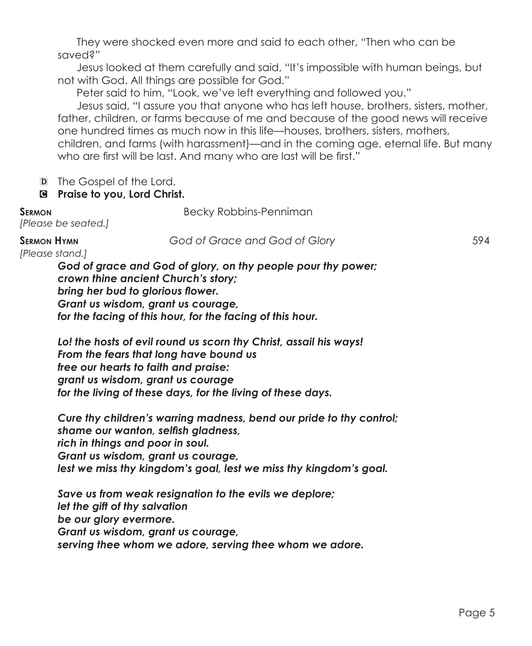They were shocked even more and said to each other, "Then who can be saved?"

Jesus looked at them carefully and said, "It's impossible with human beings, but not with God. All things are possible for God."

Peter said to him, "Look, we've left everything and followed you."

 Jesus said, "I assure you that anyone who has left house, brothers, sisters, mother, father, children, or farms because of me and because of the good news will receive one hundred times as much now in this life—houses, brothers, sisters, mothers, children, and farms (with harassment)—and in the coming age, eternal life. But many who are first will be last. And many who are last will be first."

D The Gospel of the Lord.

### C **Praise to you, Lord Christ.**

**SERMON** Becky Robbins-Penniman

*[Please be seated.]*

**Sermon Hymn** *God of Grace and God of Glory* 594

*[Please stand.]*

*God of grace and God of glory, on thy people pour thy power; crown thine ancient Church's story; bring her bud to glorious flower. Grant us wisdom, grant us courage, for the facing of this hour, for the facing of this hour.*

*Lo! the hosts of evil round us scorn thy Christ, assail his ways! From the fears that long have bound us free our hearts to faith and praise: grant us wisdom, grant us courage for the living of these days, for the living of these days.*

*Cure thy children's warring madness, bend our pride to thy control; shame our wanton, selfish gladness, rich in things and poor in soul. Grant us wisdom, grant us courage, lest we miss thy kingdom's goal, lest we miss thy kingdom's goal.*

*Save us from weak resignation to the evils we deplore; let the gift of thy salvation be our glory evermore. Grant us wisdom, grant us courage, serving thee whom we adore, serving thee whom we adore.*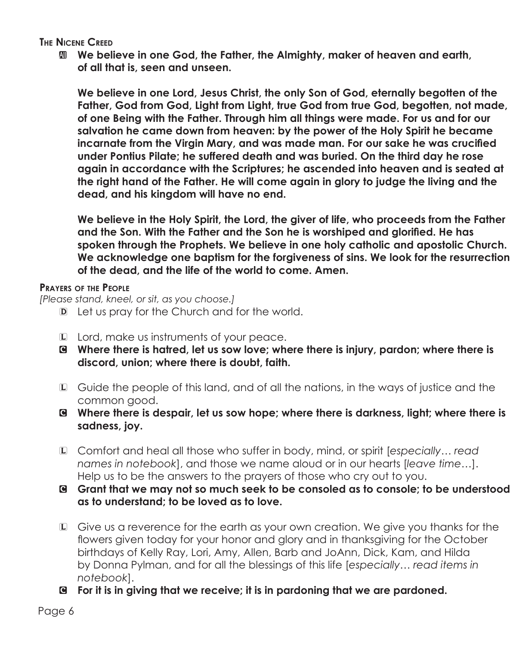**The Nicene Creed**

 $\mathbf{M}$  **We believe in one God, the Father, the Almighty, maker of heaven and earth, of all that is, seen and unseen.**

**We believe in one Lord, Jesus Christ, the only Son of God, eternally begotten of the Father, God from God, Light from Light, true God from true God, begotten, not made, of one Being with the Father. Through him all things were made. For us and for our salvation he came down from heaven: by the power of the Holy Spirit he became incarnate from the Virgin Mary, and was made man. For our sake he was crucified under Pontius Pilate; he suffered death and was buried. On the third day he rose again in accordance with the Scriptures; he ascended into heaven and is seated at the right hand of the Father. He will come again in glory to judge the living and the dead, and his kingdom will have no end.**

**We believe in the Holy Spirit, the Lord, the giver of life, who proceeds from the Father and the Son. With the Father and the Son he is worshiped and glorified. He has spoken through the Prophets. We believe in one holy catholic and apostolic Church. We acknowledge one baptism for the forgiveness of sins. We look for the resurrection of the dead, and the life of the world to come. Amen.**

#### **Prayers of the People**

*[Please stand, kneel, or sit, as you choose.]*

- D Let us pray for the Church and for the world.
- L Lord, make us instruments of your peace.
- C **Where there is hatred, let us sow love; where there is injury, pardon; where there is discord, union; where there is doubt, faith.**
- L Guide the people of this land, and of all the nations, in the ways of justice and the common good.
- C **Where there is despair, let us sow hope; where there is darkness, light; where there is sadness, joy.**
- L Comfort and heal all those who suffer in body, mind, or spirit [*especially… read names in notebook*], and those we name aloud or in our hearts [*leave time…*]. Help us to be the answers to the prayers of those who cry out to you.
- C **Grant that we may not so much seek to be consoled as to console; to be understood as to understand; to be loved as to love.**
- L Give us a reverence for the earth as your own creation. We give you thanks for the flowers given today for your honor and glory and in thanksgiving for the October birthdays of Kelly Ray, Lori, Amy, Allen, Barb and JoAnn, Dick, Kam, and Hilda by Donna Pylman, and for all the blessings of this life [*especially… read items in notebook*].
- C **For it is in giving that we receive; it is in pardoning that we are pardoned.**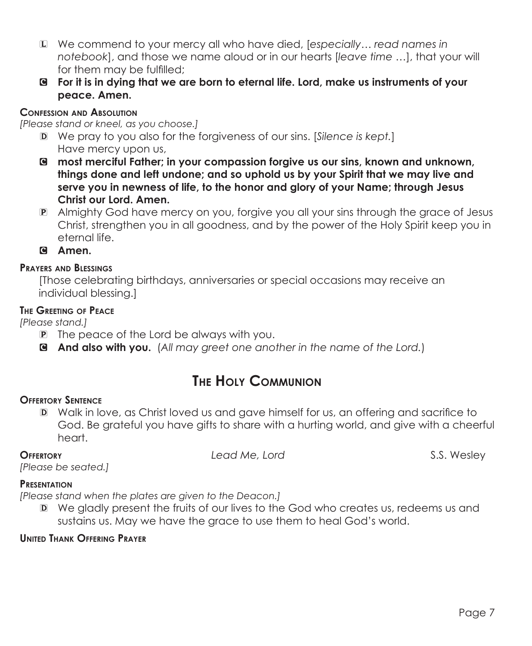- L We commend to your mercy all who have died, [*especially… read names in notebook*], and those we name aloud or in our hearts [*leave time …*], that your will for them may be fulfilled;
- C **For it is in dying that we are born to eternal life. Lord, make us instruments of your peace. Amen.**

### **Confession and Absolution**

*[Please stand or kneel, as you choose.]*

- D We pray to you also for the forgiveness of our sins. [*Silence is kept.*] Have mercy upon us,
- C **most merciful Father; in your compassion forgive us our sins, known and unknown, things done and left undone; and so uphold us by your Spirit that we may live and serve you in newness of life, to the honor and glory of your Name; through Jesus Christ our Lord. Amen.**
- P Almighty God have mercy on you, forgive you all your sins through the grace of Jesus Christ, strengthen you in all goodness, and by the power of the Holy Spirit keep you in eternal life.
- C **Amen.**

### **Prayers and Blessings**

[Those celebrating birthdays, anniversaries or special occasions may receive an individual blessing.]

### **The Greeting of Peace**

*[Please stand.]*

- P The peace of the Lord be always with you.
- C **And also with you.** (*All may greet one another in the name of the Lord.*)

## **The Holy Communion**

### **Offertory Sentence**

D Walk in love, as Christ loved us and gave himself for us, an offering and sacrifice to God. Be grateful you have gifts to share with a hurting world, and give with a cheerful heart.

**Offertory** *Lead Me, Lord* S.S. Wesley

### *[Please be seated.]*

#### **Presentation**

*[Please stand when the plates are given to the Deacon.]*

D We gladly present the fruits of our lives to the God who creates us, redeems us and sustains us. May we have the grace to use them to heal God's world.

#### **United Thank Offering Prayer**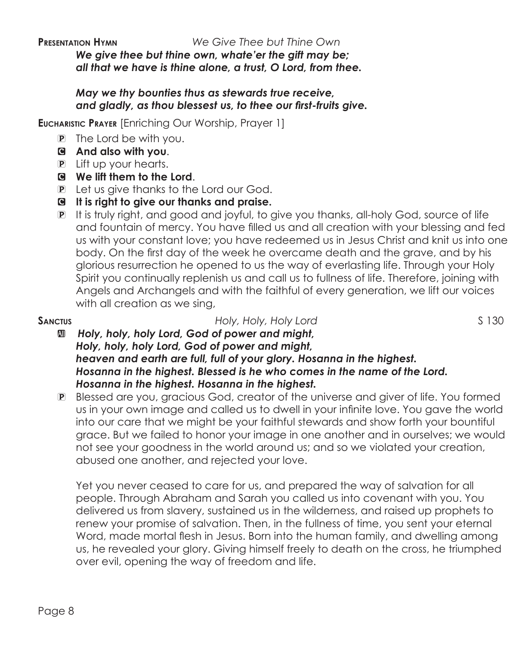*We give thee but thine own, whate'er the gift may be; all that we have is thine alone, a trust, O Lord, from thee.*

### *May we thy bounties thus as stewards true receive, and gladly, as thou blessest us, to thee our first-fruits give.*

**Eucharistic Prayer** [Enriching Our Worship, Prayer 1]

- P The Lord be with you.
- C **And also with you**.
- P Lift up your hearts.
- C **We lift them to the Lord**.
- P Let us give thanks to the Lord our God.
- C **It is right to give our thanks and praise.**
- P It is truly right, and good and joyful, to give you thanks, all-holy God, source of life and fountain of mercy. You have filled us and all creation with your blessing and fed us with your constant love; you have redeemed us in Jesus Christ and knit us into one body. On the first day of the week he overcame death and the grave, and by his glorious resurrection he opened to us the way of everlasting life. Through your Holy Spirit you continually replenish us and call us to fullness of life. Therefore, joining with Angels and Archangels and with the faithful of every generation, we lift our voices with all creation as we sing,

**Sanctus** *Holy, Holy, Holy Lord* S 130

- a *Holy, holy, holy Lord, God of power and might, Holy, holy, holy Lord, God of power and might, heaven and earth are full, full of your glory. Hosanna in the highest. Hosanna in the highest. Blessed is he who comes in the name of the Lord. Hosanna in the highest. Hosanna in the highest.*
- P Blessed are you, gracious God, creator of the universe and giver of life. You formed us in your own image and called us to dwell in your infinite love. You gave the world into our care that we might be your faithful stewards and show forth your bountiful grace. But we failed to honor your image in one another and in ourselves; we would not see your goodness in the world around us; and so we violated your creation, abused one another, and rejected your love.

 Yet you never ceased to care for us, and prepared the way of salvation for all people. Through Abraham and Sarah you called us into covenant with you. You delivered us from slavery, sustained us in the wilderness, and raised up prophets to renew your promise of salvation. Then, in the fullness of time, you sent your eternal Word, made mortal flesh in Jesus. Born into the human family, and dwelling among us, he revealed your glory. Giving himself freely to death on the cross, he triumphed over evil, opening the way of freedom and life.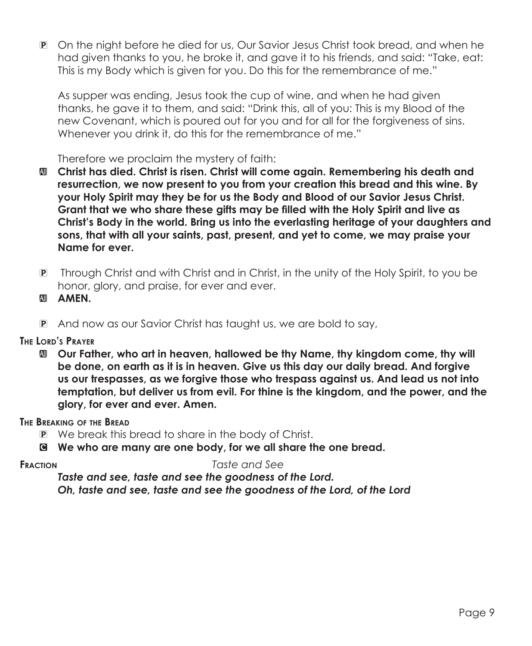P On the night before he died for us, Our Savior Jesus Christ took bread, and when he had given thanks to you, he broke it, and gave it to his friends, and said: "Take, eat: This is my Body which is given for you. Do this for the remembrance of me."

 As supper was ending, Jesus took the cup of wine, and when he had given thanks, he gave it to them, and said: "Drink this, all of you: This is my Blood of the new Covenant, which is poured out for you and for all for the forgiveness of sins. Whenever you drink it, do this for the remembrance of me."

Therefore we proclaim the mystery of faith:

- $\mathbf{I}$  Christ has died. Christ is risen. Christ will come again. Remembering his death and **resurrection, we now present to you from your creation this bread and this wine. By your Holy Spirit may they be for us the Body and Blood of our Savior Jesus Christ. Grant that we who share these gifts may be filled with the Holy Spirit and live as Christ's Body in the world. Bring us into the everlasting heritage of your daughters and sons, that with all your saints, past, present, and yet to come, we may praise your Name for ever.**
- P Through Christ and with Christ and in Christ, in the unity of the Holy Spirit, to you be honor, glory, and praise, for ever and ever.
- **AMEN.**
- P And now as our Savior Christ has taught us, we are bold to say,

#### **The Lord's Prayer**

 $\mathbf{M}$  **Our Father, who art in heaven, hallowed be thy Name, thy kingdom come, thy will be done, on earth as it is in heaven. Give us this day our daily bread. And forgive us our trespasses, as we forgive those who trespass against us. And lead us not into temptation, but deliver us from evil. For thine is the kingdom, and the power, and the glory, for ever and ever. Amen.**

#### **The Breaking of the Bread**

- P We break this bread to share in the body of Christ.
- C **We who are many are one body, for we all share the one bread.**

**Fraction** *Taste and See*

*Taste and see, taste and see the goodness of the Lord. Oh, taste and see, taste and see the goodness of the Lord, of the Lord*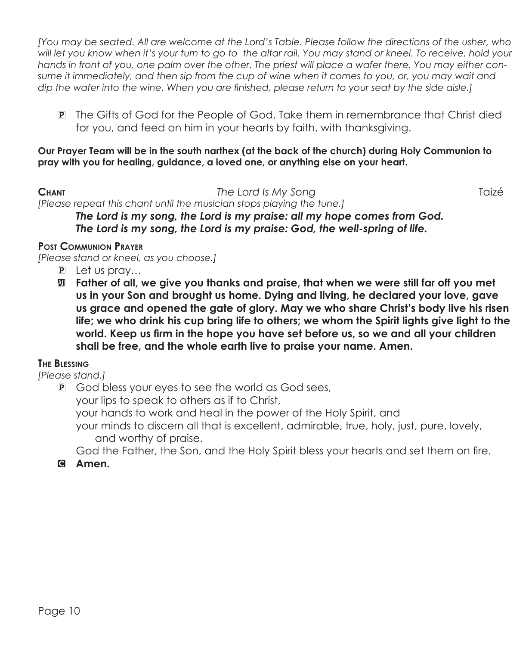*[You may be seated. All are welcome at the Lord's Table. Please follow the directions of the usher, who*  will let you know when it's your turn to go to the altar rail. You may stand or kneel. To receive, hold your *hands in front of you, one palm over the other. The priest will place a wafer there. You may either consume it immediately, and then sip from the cup of wine when it comes to you, or, you may wait and dip the wafer into the wine. When you are finished, please return to your seat by the side aisle.]*

P The Gifts of God for the People of God. Take them in remembrance that Christ died for you, and feed on him in your hearts by faith, with thanksgiving.

#### **Our Prayer Team will be in the south narthex (at the back of the church) during Holy Communion to pray with you for healing, guidance, a loved one, or anything else on your heart.**

**Chant** *The Lord Is My Song* Taizé

*[Please repeat this chant until the musician stops playing the tune.]*

*The Lord is my song, the Lord is my praise: all my hope comes from God. The Lord is my song, the Lord is my praise: God, the well-spring of life.*

#### **Post Communion Prayer**

*[Please stand or kneel, as you choose.]*

- P Let us pray…
- a **Father of all, we give you thanks and praise, that when we were still far off you met us in your Son and brought us home. Dying and living, he declared your love, gave us grace and opened the gate of glory. May we who share Christ's body live his risen life; we who drink his cup bring life to others; we whom the Spirit lights give light to the world. Keep us firm in the hope you have set before us, so we and all your children shall be free, and the whole earth live to praise your name. Amen.**

### **The Blessing**

*[Please stand.]*

P God bless your eyes to see the world as God sees,

your lips to speak to others as if to Christ,

your hands to work and heal in the power of the Holy Spirit, and

your minds to discern all that is excellent, admirable, true, holy, just, pure, lovely, and worthy of praise.

God the Father, the Son, and the Holy Spirit bless your hearts and set them on fire.

C **Amen.**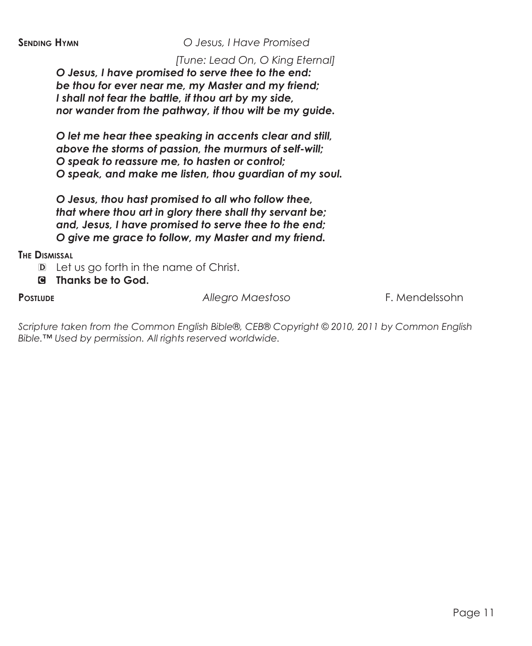**Sending Hymn** *O Jesus, I Have Promised*

*[Tune: Lead On, O King Eternal]*

*O Jesus, I have promised to serve thee to the end: be thou for ever near me, my Master and my friend; I shall not fear the battle, if thou art by my side, nor wander from the pathway, if thou wilt be my guide.*

*O let me hear thee speaking in accents clear and still, above the storms of passion, the murmurs of self-will; O speak to reassure me, to hasten or control; O speak, and make me listen, thou guardian of my soul.*

*O Jesus, thou hast promised to all who follow thee, that where thou art in glory there shall thy servant be; and, Jesus, I have promised to serve thee to the end; O give me grace to follow, my Master and my friend.*

**The Dismissal**

- D Let us go forth in the name of Christ.
- C **Thanks be to God.**

**Postlude** *Allegro Maestoso* F. Mendelssohn

*Scripture taken from the Common English Bible®, CEB® Copyright © 2010, 2011 by Common English Bible.™ Used by permission. All rights reserved worldwide.*